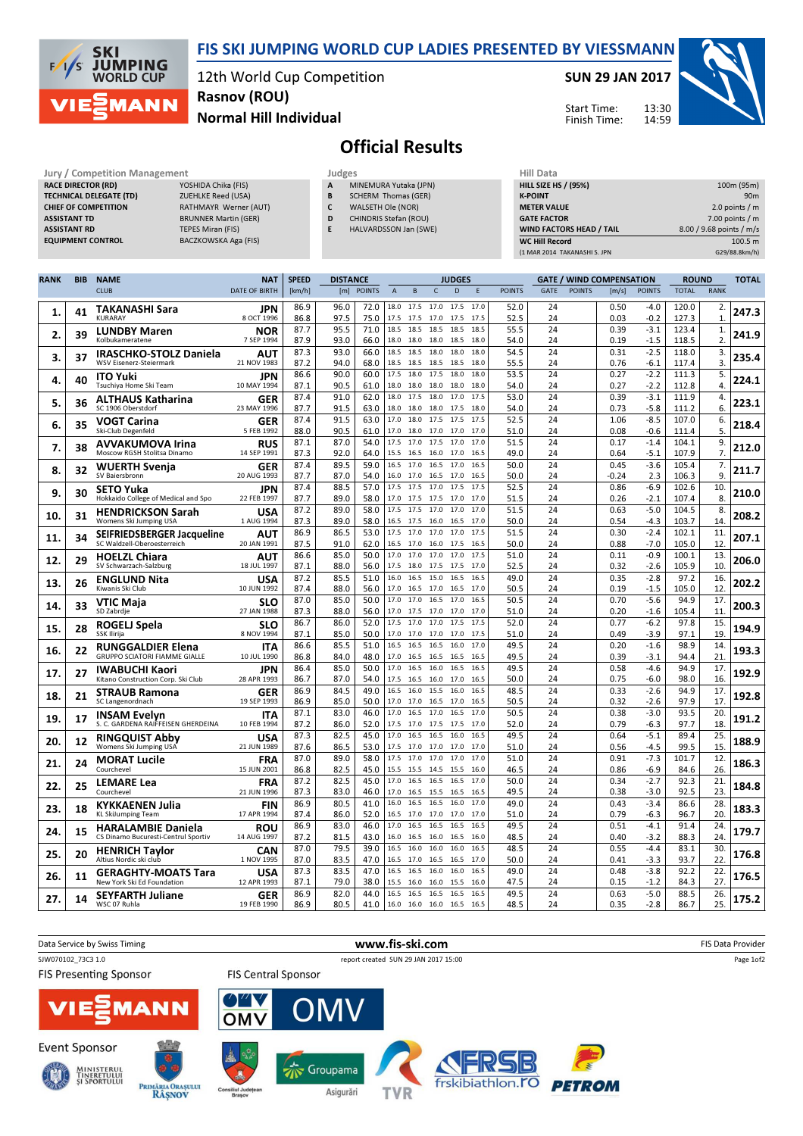

## FIS SKI JUMPING WORLD CUP LADIES PRESENTED BY VIESSMANN

12th World Cup Competition Normal Hill Individual Rasnov (ROU)

SUN 29 JAN 2017

Start Time: Finish Time:



## Official Results

| Jury / Competition Management  |                             | Judges |                       | Hill Data              |
|--------------------------------|-----------------------------|--------|-----------------------|------------------------|
| <b>RACE DIRECTOR (RD)</b>      | YOSHIDA Chika (FIS)         | A      | MINEMURA Yutaka (JPN) | HILL SIZE HS / (95%    |
| <b>TECHNICAL DELEGATE (TD)</b> | <b>ZUEHLKE Reed (USA)</b>   | B      | SCHERM Thomas (GER)   | <b>K-POINT</b>         |
| <b>CHIEF OF COMPETITION</b>    | RATHMAYR Werner (AUT)       |        | WALSETH Ole (NOR)     | <b>METER VALUE</b>     |
| <b>ASSISTANT TD</b>            | <b>BRUNNER Martin (GER)</b> | D      | CHINDRIS Stefan (ROU) | <b>GATE FACTOR</b>     |
| <b>ASSISTANT RD</b>            | TEPES Miran (FIS)           | E      | HALVARDSSON Jan (SWE) | <b>WIND FACTORS HE</b> |
| <b>EQUIPMENT CONTROL</b>       | BACZKOWSKA Aga (FIS)        |        |                       | <b>WC Hill Record</b>  |

| (1 MAR 2014 TAKANASHI S. JPN    | G29/88.8km/h)            |
|---------------------------------|--------------------------|
| <b>WC Hill Record</b>           | 100.5 m                  |
| <b>WIND FACTORS HEAD / TAIL</b> | 8.00 / 9.68 points / m/s |
| <b>GATE FACTOR</b>              | $7.00$ points / m        |
| <b>METER VALUE</b>              | 2.0 points $/m$          |
| <b>K-POINT</b>                  | 90 <sub>m</sub>          |
| <b>HILL SIZE HS / (95%)</b>     | 100m (95m)               |
| Hill Data                       |                          |

13:30 14:59

| <b>RANK</b> | <b>BIB</b> | <b>NAME</b>                                               | <b>NAT</b>                | <b>SPEED</b> | <b>DISTANCE</b> |              |                |                        |              | <b>JUDGES</b> |              |               |             |               | <b>GATE / WIND COMPENSATION</b> |                  |                | <b>ROUND</b>         | <b>TOTAL</b> |
|-------------|------------|-----------------------------------------------------------|---------------------------|--------------|-----------------|--------------|----------------|------------------------|--------------|---------------|--------------|---------------|-------------|---------------|---------------------------------|------------------|----------------|----------------------|--------------|
|             |            | <b>CLUB</b>                                               | <b>DATE OF BIRTH</b>      | [km/h]       |                 | [m] POINTS   | $\overline{A}$ | B                      | $\mathsf C$  | D             | F            | <b>POINTS</b> | <b>GATE</b> | <b>POINTS</b> | [m/s]                           | <b>POINTS</b>    | <b>TOTAL</b>   | <b>RANK</b>          |              |
| 1.          | 41         | TAKANASHI Sara<br><b>KURARAY</b>                          | <b>JPN</b><br>8 OCT 1996  | 86.9<br>86.8 | 96.0<br>97.5    | 72.0<br>75.0 | 18.0<br>17.5   | 17.5<br>17.5 17.0      | 17.0 17.5    | 17.5          | 17.0<br>17.5 | 52.0<br>52.5  | 24<br>24    |               | 0.50<br>0.03                    | -4.0<br>$-0.2$   | 120.0<br>127.3 | 2.<br>$\mathbf{1}$   | 247.3        |
| 2.          | 39         | <b>LUNDBY Maren</b><br>Kolbukameratene                    | <b>NOR</b><br>7 SEP 1994  | 87.7<br>87.9 | 95.5<br>93.0    | 71.0<br>66.0 | 18.5<br>18.0   | 18.5<br>18.0           | 18.5<br>18.0 | 18.5<br>18.5  | 18.5<br>18.0 | 55.5<br>54.0  | 24<br>24    |               | 0.39<br>0.19                    | $-3.1$<br>$-1.5$ | 123.4<br>118.5 | 1.<br>$\overline{2}$ | 241.9        |
|             |            | <b>IRASCHKO-STOLZ Daniela</b>                             | AUT                       | 87.3         | 93.0            | 66.0         | 18.5           | 18.5                   | 18.0         | 18.0          | 18.0         | 54.5          | 24          |               | 0.31                            | $-2.5$           | 118.0          | 3.                   |              |
| 3.          | 37         | <b>WSV Eisenerz-Steiermark</b>                            | 21 NOV 1983               | 87.2         | 94.0            | 68.0         | 18.5           | 18.5                   | 18.5         | 18.5          | 18.0         | 55.5          | 24          |               | 0.76                            | $-6.1$           | 117.4          | 3.                   | 235.4        |
| 4.          | 40         | <b>ITO Yuki</b>                                           | <b>JPN</b><br>10 MAY 1994 | 86.6<br>87.1 | 90.0<br>90.5    | 60.0<br>61.0 | 17.5<br>18.0   | 18.0<br>18.0           | 17.5         | 18.0<br>18.0  | 18.0<br>18.0 | 53.5<br>54.0  | 24<br>24    |               | 0.27<br>0.27                    | $-2.2$<br>$-2.2$ | 111.3<br>112.8 | 5.<br>4.             | 224.1        |
|             |            | Tsuchiya Home Ski Team                                    |                           | 87.4         | 91.0            | 62.0         | 18.0           | 17.5                   | 18.0<br>18.0 | 17.0          | 17.5         | 53.0          | 24          |               | 0.39                            | $-3.1$           | 111.9          | 4.                   |              |
| 5.          | 36         | <b>ALTHAUS Katharina</b><br>SC 1906 Oberstdorf            | GER<br>23 MAY 1996        | 87.7         | 91.5            | 63.0         | 18.0           | 18.0                   | 18.0         | 17.5          | 18.0         | 54.0          | 24          |               | 0.73                            | -5.8             | 111.2          | 6.                   | 223.1        |
|             | 35         | VOGT Carina                                               | GER                       | 87.4         | 91.5            | 63.0         | 17.0           | 18.0                   | 17.5         | 17.5          | 17.5         | 52.5          | 24          |               | 1.06                            | $-8.5$           | 107.0          | 6.                   | 218.4        |
| 6.          |            | Ski-Club Degenfeld                                        | 5 FEB 1992                | 88.0         | 90.5            | 61.0         | 17.0           | 18.0                   | 17.0         | 17.0          | 17.0         | 51.0          | 24          |               | 0.08                            | $-0.6$           | 111.4          | 5.                   |              |
| 7.          | 38         | <b>AVVAKUMOVA Irina</b>                                   | <b>RUS</b>                | 87.1         | 87.0            | 54.0         | 17.5           | 17.0                   | 17.5         | 17.0          | 17.0         | 51.5          | 24          |               | 0.17                            | $-1.4$           | 104.1          | 9.                   | 212.0        |
|             |            | Moscow RGSH Stolitsa Dinamo                               | 14 SEP 1991               | 87.3<br>87.4 | 92.0<br>89.5    | 64.0<br>59.0 | 15.5<br>16.5   | 16.5<br>17.0           | 16.0<br>16.5 | 17.0<br>17.0  | 16.5<br>16.5 | 49.0<br>50.0  | 24<br>24    |               | 0.64<br>0.45                    | $-5.1$<br>$-3.6$ | 107.9<br>105.4 | 7.<br>7.             |              |
| 8.          | 32         | WUERTH Svenja<br>SV Baiersbronn                           | GER<br>20 AUG 1993        | 87.7         | 87.0            | 54.0         | 16.0           | 17.0 16.5              |              | 17.0          | 16.5         | 50.0          | 24          |               | $-0.24$                         | 2.3              | 106.3          | 9.                   | 211.7        |
|             |            | <b>SETO Yuka</b>                                          | JPN                       | 87.4         | 88.5            | 57.0         | 17.5           | 17.5                   | 17.0         | 17.5          | 17.5         | 52.5          | 24          |               | 0.86                            | $-6.9$           | 102.6          | 10                   |              |
| 9.          | 30         | Hokkaido College of Medical and Spo                       | 22 FEB 1997               | 87.7         | 89.0            | 58.0         | 17.0           | 17.5                   | 17.5         | 17.0          | 17.0         | 51.5          | 24          |               | 0.26                            | $-2.1$           | 107.4          | 8.                   | 210.0        |
| 10.         | 31         | <b>HENDRICKSON Sarah</b>                                  | <b>USA</b>                | 87.2         | 89.0            | 58.0         | 17.5           | 17.5 17.0              |              | 17.0          | 17.0         | 51.5          | 24          |               | 0.63                            | $-5.0$           | 104.5          | 8.                   | 208.2        |
|             |            | Womens Ski Jumping USA                                    | 1 AUG 1994                | 87.3         | 89.0            | 58.0         | 16.5           | 17.5 16.0              |              | 16.5          | 17.0         | 50.0          | 24          |               | 0.54                            | $-4.3$           | 103.7          | 14                   |              |
| 11.         | 34         | SEIFRIEDSBERGER Jacqueline<br>SC Waldzell-Oberoesterreich | AUT<br>20 JAN 1991        | 86.9<br>87.5 | 86.5<br>91.0    | 53.0<br>62.0 | 17.5<br>16.5   | 17.0<br>17.0           | 17.0<br>16.0 | 17.0<br>17.5  | 17.5<br>16.5 | 51.5<br>50.0  | 24<br>24    |               | 0.30<br>0.88                    | $-2.4$<br>$-7.0$ | 102.1<br>105.0 | 11<br>12.            | 207.1        |
|             |            |                                                           | AUT                       | 86.6         | 85.0            | 50.0         | 17.0           | 17.0                   | 17.0         | 17.0          | 17.5         | 51.0          | 24          |               | 0.11                            | $-0.9$           | 100.1          | 13.                  |              |
| 12.         | 29         | <b>HOELZL Chiara</b><br>SV Schwarzach-Salzburg            | 18 JUL 1997               | 87.1         | 88.0            | 56.0         | 17.5           | 18.0 17.5 17.5         |              |               | 17.0         | 52.5          | 24          |               | 0.32                            | $-2.6$           | 105.9          | 10                   | 206.0        |
| 13.         | 26         | <b>ENGLUND Nita</b>                                       | <b>USA</b>                | 87.2         | 85.5            | 51.0         | 16.0           | 16.5 15.0              |              | 16.5          | 16.5         | 49.0          | 24          |               | 0.35                            | $-2.8$           | 97.2           | 16.                  | 202.2        |
|             |            | Kiwanis Ski Club                                          | 10 JUN 1992               | 87.4         | 88.0            | 56.0         | 17.0           | 16.5                   | 17.0         | 16.5          | 17.0         | 50.5          | 24          |               | 0.19                            | $-1.5$           | 105.0          | 12                   |              |
| 14.         | 33         | <b>VTIC Maja</b>                                          | <b>SLO</b>                | 87.0         | 85.0            | 50.0         | 17.0           | 17.0                   | 16.5         | 17.0          | 16.5         | 50.5          | 24          |               | 0.70                            | $-5.6$           | 94.9           | 17.                  | 200.3        |
|             |            | SD Zabrdje                                                | 27 JAN 1988               | 87.3<br>86.7 | 88.0<br>86.0    | 56.0<br>52.0 | 17.0<br>17.5   | 17.5<br>17.0           | 17.0<br>17.0 | 17.0<br>17.5  | 17.0<br>17.5 | 51.0<br>52.0  | 24<br>24    |               | 0.20<br>0.77                    | $-1.6$<br>$-6.2$ | 105.4<br>97.8  | 11<br>15.            |              |
| 15.         | 28         | ROGELJ Spela<br>SSK Ilirija                               | <b>SLO</b><br>8 NOV 1994  | 87.1         | 85.0            | 50.0         | 17.0           | 17.0 17.0 17.0         |              |               | 17.5         | 51.0          | 24          |               | 0.49                            | $-3.9$           | 97.1           | 19                   | 194.9        |
|             |            | <b>RUNGGALDIER Elena</b>                                  | <b>ITA</b>                | 86.6         | 85.5            | 51.0         | 16.5           | 16.5                   | 16.5         | 16.0          | 17.0         | 49.5          | 24          |               | 0.20                            | $-1.6$           | 98.9           | 14.                  |              |
| 16.         | 22         | <b>GRUPPO SCIATORI FIAMME GIALLE</b>                      | 10 JUL 1990               | 86.8         | 84.0            | 48.0         | 17.0           | 16.5                   | 16.5         | 16.5          | 16.5         | 49.5          | 24          |               | 0.39                            | $-3.1$           | 94.4           | 21                   | 193.3        |
| 17.         | 27         | <b>IWABUCHI Kaori</b>                                     | <b>JPN</b>                | 86.4         | 85.0            | 50.0         | 17.0           | 16.5                   | 16.0         | 16.5          | 16.5         | 49.5          | 24          |               | 0.58                            | $-4.6$           | 94.9           | 17.                  | 192.9        |
|             |            | Kitano Construction Corp. Ski Club                        | 28 APR 1993               | 86.7         | 87.0            | 54.0         | 17.5           | 16.5                   | 16.0         | 17.0          | 16.5         | 50.0          | 24          |               | 0.75                            | $-6.0$           | 98.0           | 16.                  |              |
| 18.         | 21         | <b>STRAUB Ramona</b><br>SC Langenordnach                  | GER<br>19 SEP 1993        | 86.9<br>86.9 | 84.5<br>85.0    | 49.0<br>50.0 | 16.5<br>17.0   | 16.0<br>17.0 16.5 17.0 | 15.5         | 16.0          | 16.5<br>16.5 | 48.5<br>50.5  | 24<br>24    |               | 0.33<br>0.32                    | $-2.6$<br>$-2.6$ | 94.9<br>97.9   | 17.<br>17            | 192.8        |
|             |            | <b>INSAM Evelyn</b>                                       | <b>ITA</b>                | 87.1         | 83.0            | 46.0         | 17.0           | 16.5                   | 17.0         | 16.5          | 17.0         | 50.5          | 24          |               | 0.38                            | $-3.0$           | 93.5           | 20                   |              |
| 19.         | 17         | S. C. GARDENA RAIFFEISEN GHERDEINA                        | 10 FEB 1994               | 87.2         | 86.0            | 52.0         | 17.5           | 17.0                   | 17.5         | 17.5          | 17.0         | 52.0          | 24          |               | 0.79                            | $-6.3$           | 97.7           | 18                   | 191.2        |
| 20.         | 12         | <b>RINGQUIST Abby</b>                                     | USA                       | 87.3         | 82.5            | 45.0         | 17.0           | 16.5                   | 16.5         | 16.0          | 16.5         | 49.5          | 24          |               | 0.64                            | $-5.1$           | 89.4           | 25.                  | 188.9        |
|             |            | Womens Ski Jumping USA                                    | 21 JUN 1989               | 87.6         | 86.5            | 53.0         | 17.5           | 17.0                   | 17.0         | 17.0          | 17.0         | 51.0          | 24          |               | 0.56                            | $-4.5$           | 99.5           | 15.                  |              |
| 21.         | 24         | <b>MORAT Lucile</b><br>Courchevel                         | <b>FRA</b>                | 87.0         | 89.0            | 58.0         | 17.5           | 17.0                   | 17.0         | 17.0          | 17.0         | 51.0          | 24          |               | 0.91                            | $-7.3$           | 101.7          | 12<br>26             | 186.3        |
|             |            |                                                           | 15 JUN 2001               | 86.8<br>87.2 | 82.5<br>82.5    | 45.0<br>45.0 | 15.5<br>17.0   | 15.5 14.5 15.5<br>16.5 | 16.5         | 16.5          | 16.0<br>17.0 | 46.5<br>50.0  | 24<br>24    |               | 0.86<br>0.34                    | -6.9<br>$-2.7$   | 84.6<br>92.3   | 21.                  |              |
| 22.         | 25         | <b>LEMARE Lea</b><br>Courchevel                           | <b>FRA</b><br>21 JUN 1996 | 87.3         | 83.0            | 46.0         | 17.0           | 16.5                   | 15.5         | 16.5          | 16.5         | 49.5          | 24          |               | 0.38                            | $-3.0$           | 92.5           | 23.                  | 184.8        |
| 23.         |            | KYKKAENEN Julia                                           | <b>FIN</b>                | 86.9         | 80.5            | 41.0         | 16.0           | 16.5 16.5              |              | 16.0          | 17.0         | 49.0          | 24          |               | 0.43                            | $-3.4$           | 86.6           | 28.                  | 183.3        |
|             | 18         | KL SkiJumping Team                                        | 17 APR 1994               | 87.4         | 86.0            | 52.0         | 16.5           | 17.0 17.0              |              | 17.0          | 17.0         | 51.0          | 24          |               | 0.79                            | $-6.3$           | 96.7           | 20                   |              |
| 24.         | 15         | <b>HARALAMBIE Daniela</b>                                 | <b>ROU</b>                | 86.9         | 83.0            | 46.0         | 17.0           | 16.5                   | 16.5         | 16.5          | 16.5         | 49.5          | 24          |               | 0.51                            | $-4.1$           | 91.4           | 24                   | 179.7        |
|             |            | CS Dinamo Bucuresti-Centrul Sportiv                       | 14 AUG 1997               | 87.2<br>87.0 | 81.5<br>79.5    | 43.0<br>39.0 | 16.0<br>16.5   | 16.5<br>16.0           | 16.0<br>16.0 | 16.5<br>16.0  | 16.0<br>16.5 | 48.5<br>48.5  | 24<br>24    |               | 0.40<br>0.55                    | $-3.2$<br>$-4.4$ | 88.3<br>83.1   | 24<br>30             |              |
| 25.         | 20         | <b>HENRICH Taylor</b><br>Altius Nordic ski club           | <b>CAN</b><br>1 NOV 1995  | 87.0         | 83.5            | 47.0         | 16.5           | 17.0                   | 16.5         | 16.5          | 17.0         | 50.0          | 24          |               | 0.41                            | $-3.3$           | 93.7           | 22                   | 176.8        |
|             |            | <b>GERAGHTY-MOATS Tara</b>                                | <b>USA</b>                | 87.3         | 83.5            | 47.0         | 16.5           | 16.5                   | 16.0         | 16.0          | 16.5         | 49.0          | 24          |               | 0.48                            | $-3.8$           | 92.2           | 22.                  |              |
| 26.         | 11         | New York Ski Ed Foundation                                | 12 APR 1993               | 87.1         | 79.0            | 38.0         | 15.5           | 16.0                   | 16.0         | 15.5          | 16.0         | 47.5          | 24          |               | 0.15                            | $-1.2$           | 84.3           | 27.                  | 176.5        |
| 27.         | 14         | <b>SEYFARTH Juliane</b>                                   | GER                       | 86.9         | 82.0            | 44.0         | 16.5           | 16.5                   | 16.5         | 16.5          | 16.5         | 49.5          | 24          |               | 0.63                            | $-5.0$           | 88.5           | 26                   | 175.2        |
|             |            | WSC 07 Ruhla                                              | 19 FEB 1990               | 86.9         | 80.5            | 41.0         |                | 16.0 16.0 16.0         |              | 16.5          | 16.5         | 48.5          | 24          |               | 0.35                            | $-2.8$           | 86.7           | 25.                  |              |